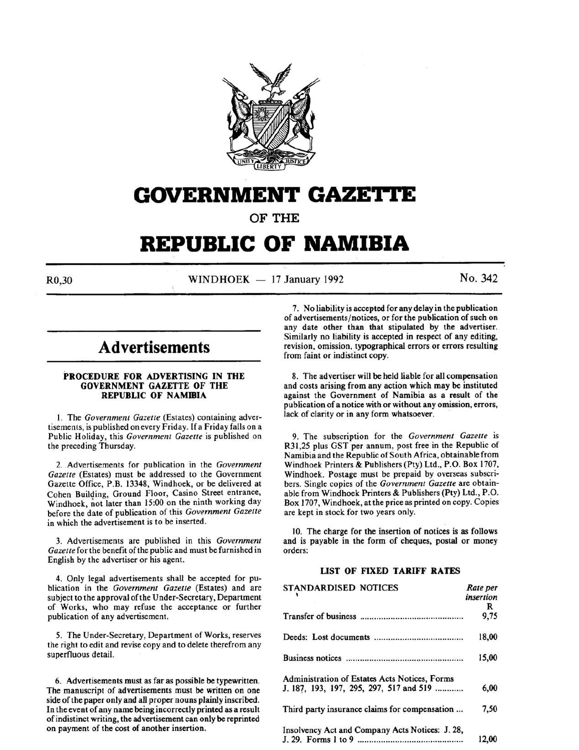

# **GOVERNMENT GAZE'ri'E**

OF THE

# **REPUBLIC OF NAMIBIA**

 $R0,30$  WINDHOEK - 17 January 1992 No. 342

# **Advertisements**

#### PROCEDURE FOR ADVERTISING IN THE GOVERNMENT GAZETTE OF THE REPUBLIC OF NAMIBIA

I. The *Government Gazette* (Estates) containing advertisements, is published on every Friday. If a Friday falls on a Public Holiday, this *Government Gazette* is published on the preceding Thursday.

2. Advertisements for publication in the *Government* Gazette (Estates) must be addressed to the Government Gazette Office, P.B. 13348, Windhoek, or be delivered at Cohen Building, Ground Floor, Casino Street entrance, Windhoek, not later than 15:00 on the ninth working day before the date of publication of this *Government Gazelte*  in which the advertisement is to be inserted.

3. Advertisements are published in this *Government*  Gazette for the benefit of the public and must be furnished in English by the advertiser or his agent.

4. Only legal advertisements shall be accepted for publication in the *Government Gazette* (Estates) and are subject to the approval of the Under-Secretary, Department of Works, who may refuse the acceptance or further publication of any advertisement.

5. The Under-Secretary, Department of Works, reserves the right to edit and revise copy and to delete therefrom any superfluous detail.

6. Advertisements must as far as possible be typewritten. The manuscript of advertisements must be written on one side of the paper only and all proper nouns plainly inscribed. In the event of any name being incorrectly printed as a result of indistinct writing, the advertisement can only be reprinted on payment of the cost of another insertion.

7. No liability is accepted for any delay in the publication of advertisements/notices, or for the publication of such on any date other than that stipulated by the advertiser. Similarly no liability is accepted in respect of any editing, revision, omission, typographical errors or errors resulting from faint or indistinct copy.

8. The advertiser will be held liable for all compensation and costs arising from any action which may be instituted against the Government of Namibia as a result of the publication of a notice with or without any omission, errors, lack of clarity or in any form whatsoever.

9. The subscription for the *Government Gazette* is R31,25 plus GST per annum, post free in the Republic of Namibia and the Republic of South Africa, obtainable from Windhoek Printers & Publishers (Pty) Ltd., P.O. Box 1707, Windhoek. Postage must be prepaid by overseas subscribers. Single copies of the *Government Gazette* are obtainable from Windhoek Printers & Publishers (Pty) Ltd., P.O. Box 1707, Windhoek, at the price as printed on copy. Copies are kept in stock for two years only.

10. The charge for the insertion of notices is as follows and is payable in the form of cheques, postal or money orders:

## LIST OF FIXED TARIFF RATES

| <b>STANDARDISED NOTICES</b>                     | Rate per  |
|-------------------------------------------------|-----------|
|                                                 | insertion |
|                                                 | R         |
|                                                 | 9,75      |
|                                                 | 18.00     |
|                                                 | 15.00     |
| Administration of Estates Acts Notices, Forms   |           |
| J. 187, 193, 197, 295, 297, 517 and 519         | 6,00      |
| Third party insurance claims for compensation   | 7,50      |
| Insolvency Act and Company Acts Notices: J. 28, | 12.00     |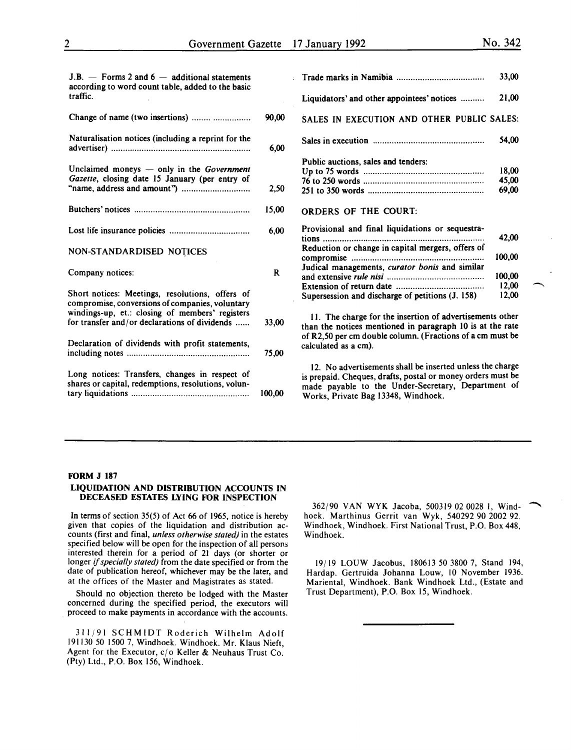54,00

18,00 45,00 69,00

42,00

100,00

 $J.B. -$  Forms 2 and  $6 -$  additional statements according to word count table, added to the basic traffic. Change of name (two insertions) ........ ................ 90,00 Naturalisation notices (including a reprint for the advertiser) .......................................................... . Unclaimed moneys - only in the *Government Gazette,* closing date 15 January (per entry of "name, address and amount'') ............................ . Butchers' notices ................................................ . 6,00 2,50 15,00 Lost life insurance policies ........... ................... .... 6,00 NON-STANDARDISED NOTICES Company notices: R Short notices: Meetings, resolutions, offers of compromise, conversions of companies, voluntary windings-up, et.: closing of members' registers for transfer and/or declarations of dividends ...... 33,00 Declaration of dividends with profit statements, including notes .................................................... 75,00 Long notices: Transfers, changes in respect of shares or capital, redemptions, resolutions, voluntary liquidations .................................................. 100,00 Trade marks in Namibia .................................... . 33,00 Liquidators' and other appointees' notices ......... . 21,00 SALES IN EXECUTION AND OTHER PUBLIC SALES: Sales in execution .............................................. . Public auctions, sales and tenders: Up to 75 words .................................................. . 76 to 250 words .................................................. . 251 to 350 words ................................................ . ORDERS OF THE COURT: Provisional and final liquidations or sequestrations ................................................................... . Reduction or change in capital mergers, offers of compromise ....................................................... . Judical managements, *curator bonis* and similar and extensive *rule nisi* ....................................... .. Extension of return date .................................... . Supersession and discharge of petitions (J. 158) II. The charge for the insertion of advertisements other than the notices mentioned in paragraph 10 is at the rate of R2,50 per em double column. (Fractions of a em must be calculated as a em). 12. No advertisements shall be inserted unless the charge is prepaid. Cheques, drafts, postal or money orders must be made payable to the Under-Secretary, Department of Works, Private Bag 13348, Windhoek.

### FORM J 187

#### LIQUIDATION AND DISTRIBUTION ACCOUNTS IN DECEASED ESTATES LYING FOR INSPECTION

In terms of section 35(5) of Act 66 of 1965, notice is hereby given that copies of the liquidation and distribution accounts (first and final, *unless otherwise stated)* in the estates specified below will be open for the inspection of all persons interested therein for a period of 21 days (or shorter or longer if *specially stated)* from the date specified or from the date of publication hereof, whichever may be the later, and at the offices of the Master and Magistrates as stated.

Should no objection thereto be lodged with the Master concerned during the specified period, the executors will proceed to make payments in accordance with the accounts.

311/91 SCHMIDT Roderich Wilhelm Adolf 191130 50 1500 7, Windhoek. Windhoek. Mr. Klaus Nieft, Agent for the Executor, c/o Keller & Neuhaus Trust Co. (Pty) Ltd., P.O. Box 156, Windhoek.

362/90 VAN WYK Jacoba, 500319 02 0028 1, Windhoek. Marthinus Gerrit van Wyk, 540292 90 2002 92. Windhoek, Windhoek. First National Trust, P.O. Box 448, Windhoek.

19/19 LOUW Jacobus, 180613 50 3800 7, Stand 194, Hardap. Gertruida Johanna Louw, 10 November 1936. Mariental, Windhoek. Bank Windhoek Ltd., (Estate and Trust Department), P.O. Box 15, Windhoek.

100,00 12,00 12,00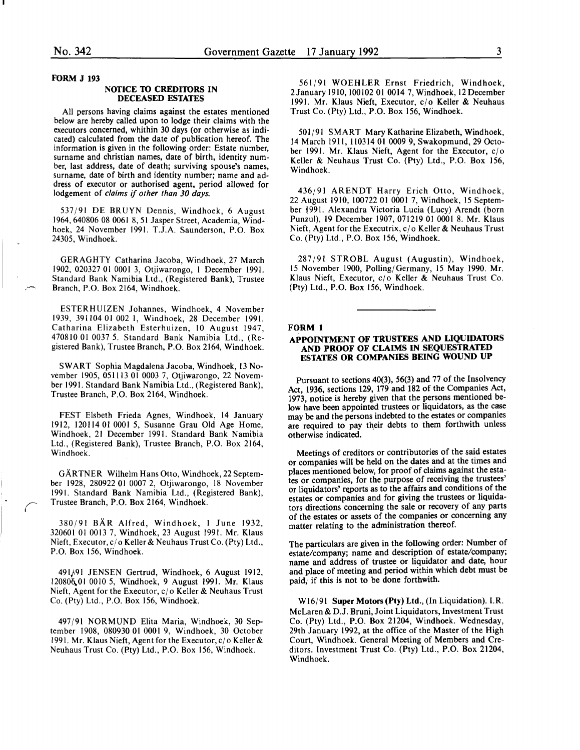#### FORM J 193

#### NOTICE TO CREDITORS IN DECEASED ESTATES

All persons having claims against the estates mentioned below are hereby called upon to lodge their claims with the executors concerned, whithin 30 days (or otherwise as indicated) calculated from the date of publication hereof. The information is given in the following order: Estate number, surname and christian names, date of birth, identity number, last address, date of death; surviving spouse's names, surname, date of birth and identity number; name and address of executor or authorised agent, period allowed for lodgement of *claims* if *other than 30 days.* 

537/91 DE BRUYN Dennis, Windhoek, 6 August 1964,640806 08 0061 8, 51 Jasper Street, Academia, Windhoek, 24 November 1991. T.J.A. Saunderson, P.O. Box 24305, Windhoek.

GERAGHTY Catharina Jacoba, Windhoek, 27 March 1902, 020327 01 0001 3, Otjiwarongo, I December 1991. Standard Bank Namibia Ltd., (Registered Bank), Trustee Branch, P.O. Box 2164, Windhoek.

ESTERHUIZEN Johannes, Windhoek, 4 November 1939, 391104 01 002 I, Windhoek, 28 December 1991. Catharina Elizabeth Esterhuizen, 10 August 1947, 470810 01 0037 5. Standard Bank Namibia Ltd., (Registered Bank), Trustee Branch, P.O. Box 2164, Windhoek.

SWART Sophia Magdalena Jacoba, Windhoek, 13 November 1905, 051113 01 0003 7, Otjiwarongo, 22 November 1991. Standard Bank Namibia Ltd., (Registered Bank), Trustee Branch, P.O. Box 2164, Windhoek.

FEST Elsbeth Frieda Agnes, Windhoek, 14 January 1912, 120114 01 0001 5, Susanne Grau Old Age Home, Windhoek, 21 December 1991. Standard Bank Namibia Ltd., (Registered Bank), Trustee Branch, P.O. Box 2164, Windhoek.

GARTNER Wilhelm Hans Otto, Windhoek, 22 September 1928, 280922 01 0007 2, Otjiwarongo, 18 November 1991. Standard Bank Namibia Ltd., (Registered Bank), Trustee Branch, P.O. Box 2164, Windhoek.

380/91 BAR Alfred, Windhoek, I June 1932, 320601 01 0013 7, Windhoek, 23 August 1991. Mr. Klaus Nieft, Executor, c/o Keller & Neuhaus Trust Co. (Pty) Ltd., P.O. Box 156, Windhoek.

49lj.91 JENSEN Gertrud, Windhoek, 6 August 1912, 120806.01 0010 5, Windhoek, 9 August 1991. Mr. Klaus Nieft, Agent for the Executor, c/o Keller & Neuhaus Trust Co. (Pty) Ltd., P.O. Box 156, Windhoek.

497/91 NORMUND Elita Maria, Windhoek, 30 September 1908, 080930 01 0001 9, Windhoek, 30 October 1991. Mr. Klaus Nieft, Agent for the Executor, c/o Keller & Neuhaus Trust Co. (Pty) Ltd., P.O. Box 156, Windhoek.

561/91 WOEHLER Ernst Friedrich, Windhoek, 2January 1910,100102 01 0014 7, Windhoek, 12 December 1991. Mr. Klaus Nieft, Executor, c/o Keller & Neuhaus Trust Co. (Pty) Ltd., P.O. Box 156, Windhoek.

501/91 SMART Mary Katharine Elizabeth, Windhoek, 14 March 1911, 110314 01 0009 9, Swakopmund, 29 October 1991. Mr. Klaus Nieft, Agent for the Executor, c/o Keller & Neuhaus Trust Co. (Pty) Ltd., P.O. Box 156, Windhoek.

436/91 ARENDT Harry Erich Otto, Windhoek, 22 August 1910, 100722 01 0001 7, Windhoek, 15 September 1991. Alexandra Victoria Lucia (Lucy) Arendt (born Punzul), 19 December 1907, 071219 01 0001 8. Mr. Klaus Nieft, Agent for the Executrix,  $c/o$  Keller & Neuhaus Trust Co. (Pty) Ltd., P.O. Box 156, Windhoek.

287/91 STROBL August (Augustin), Windhoek, 15 November 1900, Polling/Germany, 15 May 1990. Mr. Klaus Nieft, Executor, c/o Keller & Neuhaus Trust Co. (Pty) Ltd., P.O. Box 156, Windhoek.

#### FORM 1

#### APPOINTMENT OF TRUSTEES AND LIQUIDATORS AND PROOF OF CLAIMS IN SEQUESTRATED ESTATES OR COMPANIES BEING WOUND UP

Pursuant to sections 40(3), 56(3) and 77 of the Insolvency Act, 1936, sections 129, 179 and 182 of the Companies Act, 197J, notice is hereby given that the persons mentioned below have been appointed trustees or liquidators, as the case may be and the persons indebted to the estates or companies are required to pay their debts to them forthwith unless otherwise indicated.

Meetings of creditors or contributories of the said estates or companies will be held on the dates and at the times and places mentioned below, for proof of claims against the estates or companies, for the purpose of receiving the trustees' or liquidators' reports as to the affairs and conditions of the estates or companies and for giving the trustees or liquidators directions concerning the sale or recovery of any parts of the estates or assets of the companies or concerning any matter relating to the administration thereof.

The particulars are given in the following order: Number of estate/company; name and description of estate/company; name and address of trustee or liquidator and date, hour and place of meeting and period within which debt must be paid; if this is not to be done forthwith.

Wl6/91 Super Motors (Pty) Ltd., (In Liquidation). I.R. McLaren & D.J. Bruni, Joint Liquidators, Investment Trust Co. (Pty) Ltd., P.O. Box 21204, Windhoek. Wednesday, 29th January 1992, at the office of the Master of the High Court, Windhoek. General Meeting of Members and Creditors. Investment Trust Co. (Pty) Ltd., P.O. Box 21204, Windhoek.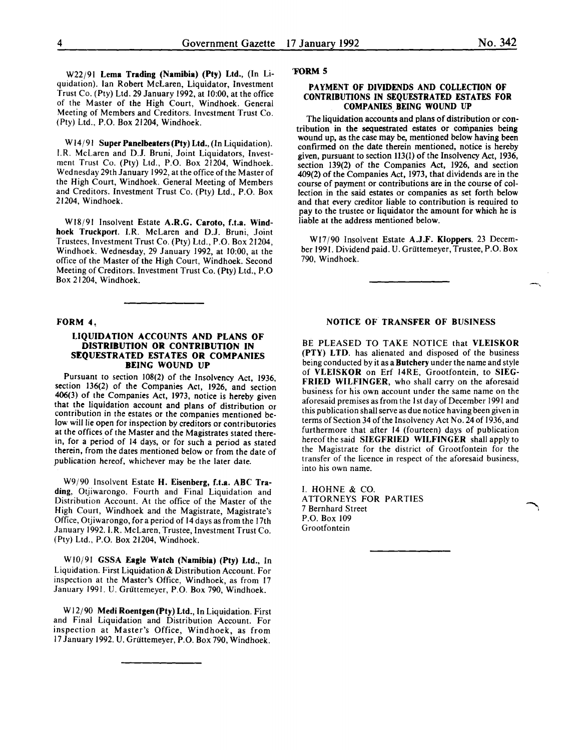W22j91 Lema Trading (Namibia) (Pty) Ltd., (In Liquidation). Ian Robert McLaren, Liquidator, Investment Trust Co. (Pty) Ltd. 29 January 1992, at 10:00, at the office of the Master of the High Court, Windhoek. General Meeting of Members and Creditors. Investment Trust Co. (Pty) Ltd., P.O. Box 21204, Windhoek.

W14/91 Super Panelbeaters (Pty) Ltd., (In Liquidation). I.R. McLaren and D.J. Bruni, Joint Liquidators, Investment Trust Co. (Pty) Ltd., P.O. Box 21204, Windhoek. Wednesday 29th January 1992, at the office of the Master of the High Court, Windhoek. General Meeting of Members and Creditors. Investment Trust Co. (Pty) Ltd., P.O. Box 21204, Windhoek.

W18/91 Insolvent Estate A.R.G. Caroto, f.t.a. Windhoek Truckport. I.R. McLaren and D.J. Bruni, Joint Trustees, Investment Trust Co. (Pty) Ltd., P.O. Box 21204, Windhoek. Wednesday, 29 January 1992, at 10:00, at the office of the Master of the High Court, Windhoek. Second Meeting of Creditors. Investment Trust Co. (Pty) Ltd., P.O Box 21204, Windhoek.

#### FORM 4,

#### LIQUIDATION ACCOUNTS AND PLANS OF DISTRIBUTION OR CONTRIBUTION IN SEQUESTRATED ESTATES OR COMPANIES BEING WOUND UP

Pursuant to section 108(2) of the Insolvency Act, 1936, section 136(2) of the Companies Act, 1926, and section 406(3) of the Companies Act, 1973, notice is hereby given contribution in the estates or the companies mentioned below will lie open for inspection by creditors or contributories at the offices of the Master and the Magistrates stated therein, for a period of 14 days, or for such a period as stated therein, from the dates mentioned below or from the date of publication hereof, whichever may be the later date.

W9/90 Insolvent Estate H. Eisenberg, f.t.a. ABC Trading, Otjiwarongo. Fourth and Final Liquidation and Distribution Account. At the office of the Master of the High Court, Windhoek and the Magistrate, Magistrate's Office, Otjiwarongo, for a period of 14 days as from the 17th January 1992. I.R. McLaren, Trustee, Investment Trust Co. (Pty) Ltd., P.O. Box 21204, Windhoek.

WI0/91 GSSA Eagle Watch (Namibia) (Pty) Ltd., In Liquidation. First Liquidation & Distribution Account. For inspection at the Master's Office, Windhoek, as from 17 January 1991. U. Griittemeyer, P.O. Box 790, Windhoek.

W12/90 Medi Roentgen (Pty) Ltd., In Liquidation. First and Final Liquidation and Distribution Account. For inspection at Master's Office, Windhoek, as from 17 January 1992. U. Griittemeyer, P.O. Box 790, Windhoek.

#### 'FORM 5

#### PAYMENT OF DIVIDENDS AND COLLECTION OF CONTRIBUTIONS IN SEQUESTRATED ESTATES FOR COMPANIES BEING WOUND UP

The liquidation accounts and plans of distribution or contribution in the sequestrated estates or companies being wound up, as the case may be, mentioned below having been confirmed on the date therein mentioned, notice is hereby given, pursuant to section 113(1) of the Insolvency Act, 1936, section 139(2) of the Companies Act, 1926, and section 409(2) of the Companies Act, 1973, that dividends are in the course of payment or contributions are in the course of collection in the said estates or companies as set forth below and that every creditor liable to contribution is reouired to pay to the trustee or liquidator the amount for which he is liable at the address mentioned below.

Wl7j90 Insolvent Estate A.J.F. Kloppers. 23 December 1991. Dividend paid. U. Griittemeyer, Trustee, P.O. Box 790, Windhoek.

#### NOTICE OF TRANSFER OF BUSINESS

BE PLEASED TO TAKE NOTICE that VLEISKOR (PTY) LTD. has alienated and disposed of the business being conducted by it as a Butchery under the name and style of VLEISKOR on Erf 14RE, Grootfontein, to SIEG-FRIED WILFINGER, who shall carry on the aforesaid business for his own account under the same name on the aforesaid premises as from the I st day of December 1991 and this publication shall serve as due notice having been given in terms of Section 34 of the Insolvency Act No. 24 of 1936, and furthermore that after 14 (fourteen) days of publication hereof the said SIEGFRIED WILFINGER shall apply to the Magistrate for the district of Grootfontein for the transfer of the licence in respect of the aforesaid business, into his own name.

I. HOHNE & CO. ATTORNEYS FOR PARTIES 7 Bernhard Street P.O. Box 109 Grootfontein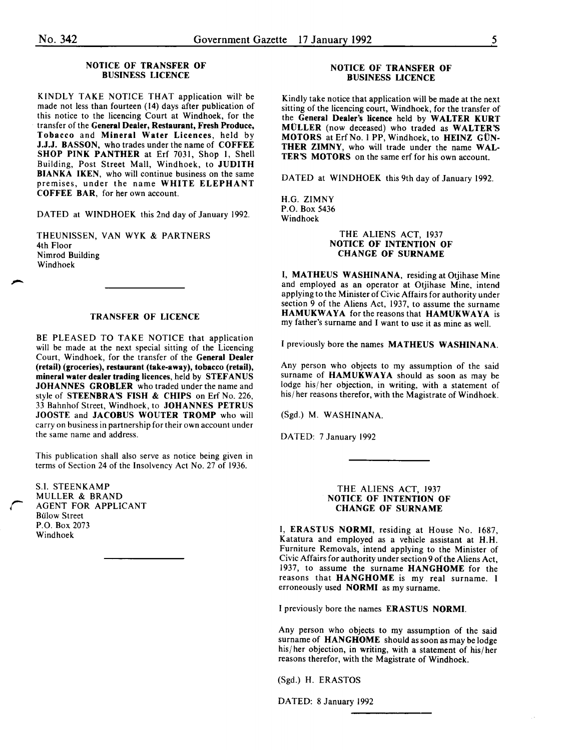#### NOTICE OF TRANSFER OF BUSINESS LICENCE

KINDLY TAKE NOTICE THAT application will· be made not less than fourteen (14) days after publication of this notice to the licencing Court at Windhoek, for the transfer of the General Dealer, Restaurant, Fresh Produce, Tobacco and Mineral Water Licences, held by J.J.J. HASSON, who trades under the name of COFFEE SHOP PINK PANTHER at Erf 7031, Shop 1, Shell Building, Post Street Mall, Windhoek, to JUDITH BIANKA IKEN, who will continue business on the same premises, under the name WHITE ELEPHANT COFFEE BAR, for her own account.

DATED at WINDHOEK this 2nd day of January 1992.

THEUNISSEN, VAN WYK & PARTNERS 4th Floor Nimrod Building Windhoek

#### TRANSFER OF LICENCE

BE PLEASED TO TAKE NOTICE that application will be made at the next special sitting of the Licencing Court, Windhoek, for the transfer of the General Dealer (retail) (groceries), restaurant (take-away), tobacco (retail), mineral water dealer trading licences, held by STEFANUS JOHANNES GROBLER who traded under the name and style of STEENBRA'S FISH & CHIPS on Erf No. 226, 33 Bahnhof Street, Windhoek, to JOHANNES PETRUS JOOSTE and JACOBUS WOUTER TROMP who will carry on business in partnership for their own account under the same name and address.

This publication shall also serve as notice being given in terms of Section 24 of the Insolvency Act No. 27 of 1936.

S.I. STEENKAMP MULLER & BRAND **AGENT FOR APPLICANT** Bulow Street P.O. Box 2073 Windhoek

#### NOTICE OF TRANSFER OF BUSINESS LICENCE

Kindly take notice that application will be made at the next sitting of the licencing court, Windhoek, for the transfer of the General Dealer's licence held by WALTER KURT MOLLER (now deceased) who traded as WALTER'S MOTORS at Erf No. 1 PP, Windhoek, to HEINZ GÜN-THER ZIMNY, who will trade under the name WAL-TER'S MOTORS on the same erf for his own account.

DATED at WINDHOEK this 9th day of January 1992.

H.G. ZIMNY P.O. Box 5436 Windhoek

#### THE ALIENS ACT, 1937 NOTICE OF INTENTION OF CHANGE OF SURNAME

I, MATHEUS WASHINANA, residing at Otjihase Mine and employed as an operator at Otjihase Mine, intend applying to the Minister of Civic Affairs for authority under section 9 of the Aliens Act, 1937, to assume the surname HAMUKWAYA for the reasons that HAMUKWAYA is my father's surname and I want to use it as mine as well.

I previously bore the names MATHEUS WASHINANA.

Any person who objects to my assumption of the said surname of  $HAMUKWAYA$  should as soon as may be lodge his/ her objection, in writing, with a statement of his/ her reasons therefor, with the Magistrate of Windhoek.

(Sgd.) M. WASHINANA.

DATED: 7 January 1992

#### THE ALIENS ACT, 1937 NOTICE OF INTENTION OF CHANGE OF SURNAME

I, ERASTUS NORMI, residing at House No. 1687, Katatura and employed as a vehicle assistant at H.H. Furniture Removals, intend applying to the Minister of Civic Affairs for authority under section 9 of the Aliens Act, 1937, to assume the surname HANGHOME for the reasons that HANGHOME is my real surname. I erroneously used NORMI as my surname.

I previously bore the names ERASTUS NORMI.

Any person who objects to my assumption of the said surname of HANGHOME should as soon as may be lodge his/her objection, in writing, with a statement of his/her reasons therefor, with the Magistrate of Windhoek.

(Sgd.) H. ERASTOS

DATED: 8 January 1992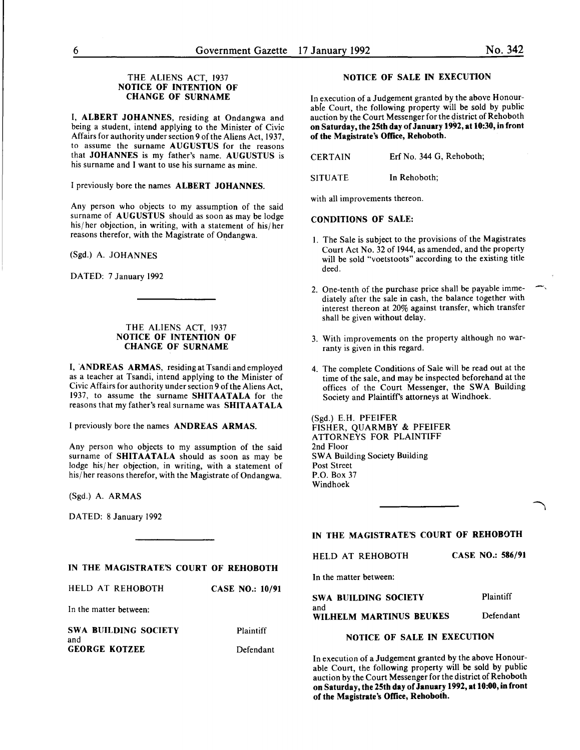#### THE ALIENS ACT, 1937 NOTICE OF INTENTION OF CHANGE OF SURNAME

I, ALBERT JOHANNES, residing at Ondangwa and being a student, intend applying to the Minister of Civic Affairs for authority under section 9 of the Aliens Act, 1937, to assume the surname AUGUSTUS for the reasons that JOHANNES is my father's name. AUGUSTUS is his surname and I want to use his surname as mine.

I previously bore the names ALBERT JOHANNES.

Any person who objects to my assumption of the said surname of AUGUSTUS should as soon as may be lodge his/ her objection, in writing, with a statement of his/ her reasons therefor, with the Magistrate of Ondangwa.

(Sgd.) A. JOHANNES

DATED: 7 January 1992

#### THE ALIENS ACT, 1937 NOTICE OF INTENTION OF CHANGE OF SURNAME

I, 'ANDREAS ARMAS, residing at Tsandi and employed as a teacher at Tsandi, intend applying to the Minister of Civic Affairs for authority under section 9 of the Aliens Act, 1937, to assume the surname SHITAATALA for the reasons that my father's real surname was SHITAATALA

I previously bore the names ANDREAS ARMAS.

Any person who objects to my assumption of the said surname of SHITAATALA should as soon as may be lodge his/ her objection, in writing, with a statement of his/her reasons therefor, with the Magistrate of Ondangwa.

(Sgd.) A. ARMAS

DATED: 8 January 1992

#### NOTICE OF SALE IN EXECUTION

In execution of a Judgement granted by the above Honourabie Court, the following property will be sold by public auction by the Court Messenger for the district of Rehoboth on Saturday, the 25th day of January 1992, at 10:30, in front of the Magistrate's Office, Rehoboth.

CERTAIN Erf No. 344 G, Rehoboth;

SITUATE In Rehoboth;

with all improvements thereon.

#### CONDITIONS OF SALE:

- 1. The Sale is subject to the provisions of the Magistrates Court Act No. 32 of 1944, as amended, and the property will be sold "voetstoots" according to the existing title deed.
- 2. One-tenth of the purchase price shall be payable immediately after the sale in cash, the balance together with interest thereon at 20% against transfer, which transfer shall be given without delay.
- 3. With improvements on the property although no warranty is given in this regard.
- 4. The complete Conditions of Sale will be read out at the time of the sale, and may be inspected beforehand at the offices of the Court Messenger, the SWA Building Society and Plaintiffs attorneys at Windhoek.

(Sgd.) E.H. PFEIFER FISHER, QUARMBY & PFEIFER ATTORNEYS FOR PLAINTIFF 2nd Floor SWA Building Society Building Post Street P.O. Box 37 Windhoek

IN THE MAGISTRATE'S COURT OF REHOBOTH

|  | HELD AT REHOBOTH |  | <b>CASE NO.: 586/91</b> |
|--|------------------|--|-------------------------|
|  |                  |  |                         |

In the matter between:

| SWA BUILDING SOCIETY           | Plaintiff |
|--------------------------------|-----------|
| and<br>WILHELM MARTINUS BEUKES | Defendant |

#### NOTICE OF SALE IN EXECUTION

In execution of a Judgement granted by the above Honourable Court, the following property will be sold by public auction by the Court Messenger for the district of Rehoboth on Saturday, the 25th day of January 1992, at 10:00, in front of the Magistrate's Office, Rehoboth.

## IN THE MAGISTRATE'S COURT OF REHOBOTH

| HELD AT REHOBOTH       | <b>CASE NO.: 10/91</b> |
|------------------------|------------------------|
| In the matter between: |                        |

SWA BUILDING SOCIETY and GEORGE KOTZEE

Plaintiff Defendant